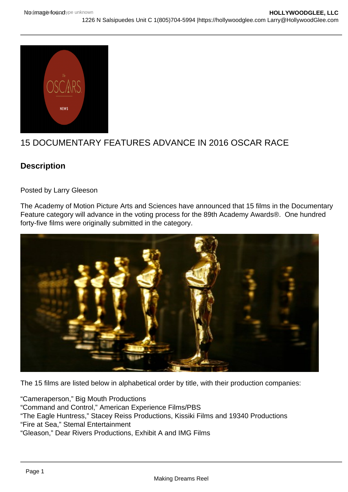

## 15 DOCUMENTARY FEATURES ADVANCE IN 2016 OSCAR RACE

## **Description**

Posted by Larry Gleeson

The Academy of Motion Picture Arts and Sciences have announced that 15 films in the Documentary Feature category will advance in the voting process for the 89th Academy Awards®. One hundred forty-five films were originally submitted in the category.



The 15 films are listed below in alphabetical order by title, with their production companies:

"Cameraperson," Big Mouth Productions "Command and Control," American Experience Films/PBS "The Eagle Huntress," Stacey Reiss Productions, Kissiki Films and 19340 Productions "Fire at Sea," Stemal Entertainment "Gleason," Dear Rivers Productions, Exhibit A and IMG Films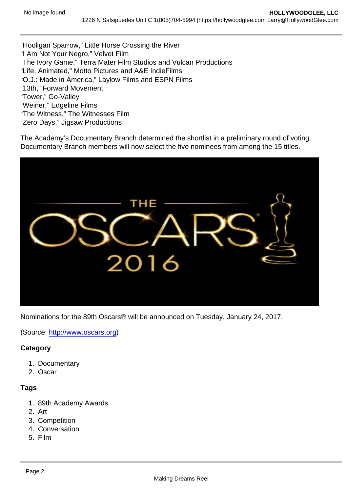"Hooligan Sparrow," Little Horse Crossing the River "I Am Not Your Negro," Velvet Film "The Ivory Game," Terra Mater Film Studios and Vulcan Productions "Life, Animated," Motto Pictures and A&E IndieFilms "O.J.: Made in America," Laylow Films and ESPN Films "13th," Forward Movement "Tower," Go-Valley "Weiner," Edgeline Films "The Witness," The Witnesses Film "Zero Days," Jigsaw Productions

The Academy's Documentary Branch determined the shortlist in a preliminary round of voting. Documentary Branch members will now select the five nominees from among the 15 titles.

Nominations for the 89th Oscars® will be announced on Tuesday, January 24, 2017.

(Source: <http://www.oscars.org>)

**Category** 

- 1. Documentary
- 2. Oscar

**Tags** 

- 1. 89th Academy Awards
- 2. Art
- 3. Competition
- 4. Conversation
- 5. Film